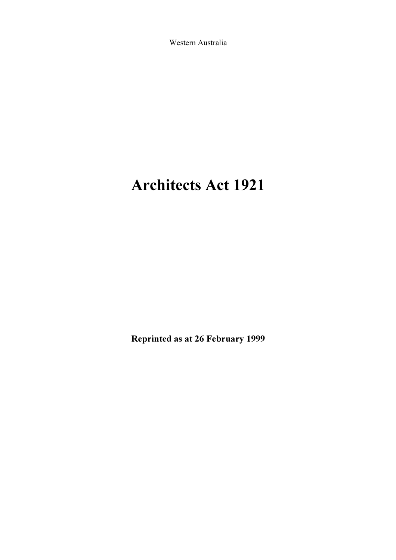Western Australia

# Architects Act 1921

Reprinted as at 26 February 1999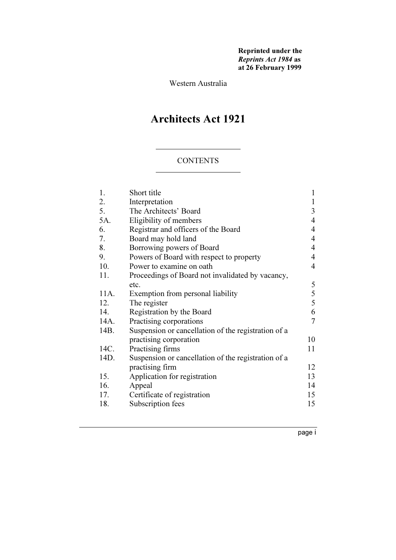Reprinted under the Reprints Act 1984 as at 26 February 1999

Western Australia

# Architects Act 1921

#### CONTENTS

|                                                     | 1                                                                                                                              |
|-----------------------------------------------------|--------------------------------------------------------------------------------------------------------------------------------|
|                                                     | 1                                                                                                                              |
| The Architects' Board                               | $\mathfrak{Z}$                                                                                                                 |
|                                                     | 4                                                                                                                              |
|                                                     | 4                                                                                                                              |
| Board may hold land                                 | 4                                                                                                                              |
| Borrowing powers of Board                           | 4                                                                                                                              |
| Powers of Board with respect to property            | 4                                                                                                                              |
| Power to examine on oath                            | 4                                                                                                                              |
| Proceedings of Board not invalidated by vacancy,    |                                                                                                                                |
| etc.                                                | 5                                                                                                                              |
| Exemption from personal liability                   | 5                                                                                                                              |
| The register                                        | 5                                                                                                                              |
| Registration by the Board                           | 6                                                                                                                              |
| Practising corporations                             | 7                                                                                                                              |
| Suspension or cancellation of the registration of a |                                                                                                                                |
| practising corporation                              | 10                                                                                                                             |
| Practising firms                                    | 11                                                                                                                             |
| Suspension or cancellation of the registration of a |                                                                                                                                |
| practising firm                                     | 12                                                                                                                             |
|                                                     | 13                                                                                                                             |
| Appeal                                              | 14                                                                                                                             |
| Certificate of registration                         | 15                                                                                                                             |
| Subscription fees                                   | 15                                                                                                                             |
|                                                     | Short title<br>Interpretation<br>Eligibility of members<br>Registrar and officers of the Board<br>Application for registration |

page <sup>i</sup>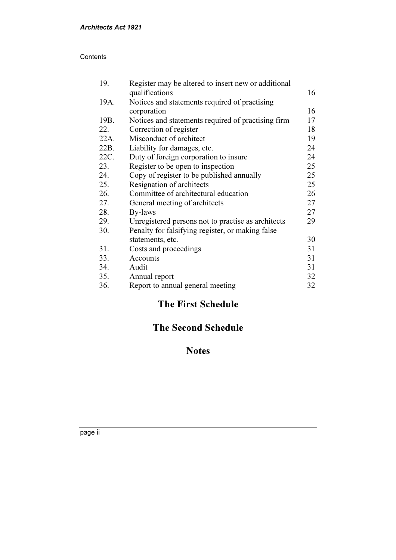| 19.  | Register may be altered to insert new or additional |    |
|------|-----------------------------------------------------|----|
|      | qualifications                                      | 16 |
| 19A. | Notices and statements required of practising       |    |
|      | corporation                                         | 16 |
| 19B. | Notices and statements required of practising firm  | 17 |
| 22.  | Correction of register                              | 18 |
| 22A. | Misconduct of architect                             | 19 |
| 22B. | Liability for damages, etc.                         | 24 |
| 22C. | Duty of foreign corporation to insure               | 24 |
| 23.  | Register to be open to inspection                   | 25 |
| 24.  | Copy of register to be published annually           | 25 |
| 25.  | Resignation of architects                           | 25 |
| 26.  | Committee of architectural education                | 26 |
| 27.  | General meeting of architects                       | 27 |
| 28.  | By-laws                                             | 27 |
| 29.  | Unregistered persons not to practise as architects  | 29 |
| 30.  | Penalty for falsifying register, or making false    |    |
|      | statements, etc.                                    | 30 |
| 31.  | Costs and proceedings                               | 31 |
| 33.  | Accounts                                            | 31 |
| 34.  | Audit                                               | 31 |
| 35.  | Annual report                                       | 32 |
| 36.  | Report to annual general meeting                    | 32 |

# The First Schedule

# The Second Schedule

# Notes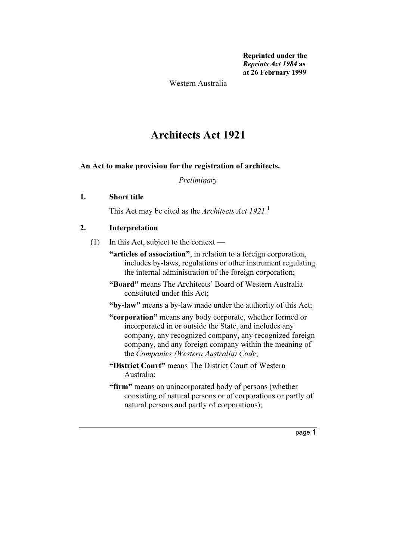Reprinted under the Reprints Act 1984 as at 26 February 1999

Western Australia

# Architects Act 1921

#### An Act to make provision for the registration of architects.

Preliminary

#### 1. Short title

This Act may be cited as the Architects Act 1921.<sup>1</sup>

#### 2. Interpretation

- (1) In this Act, subject to the context
	- "articles of association", in relation to a foreign corporation, includes by-laws, regulations or other instrument regulating the internal administration of the foreign corporation;
	- "Board" means The Architects' Board of Western Australia constituted under this Act;
	- "by-law" means a by-law made under the authority of this Act;
	- "corporation" means any body corporate, whether formed or incorporated in or outside the State, and includes any company, any recognized company, any recognized foreign company, and any foreign company within the meaning of the Companies (Western Australia) Code;
	- "District Court" means The District Court of Western Australia;
	- "firm" means an unincorporated body of persons (whether consisting of natural persons or of corporations or partly of natural persons and partly of corporations);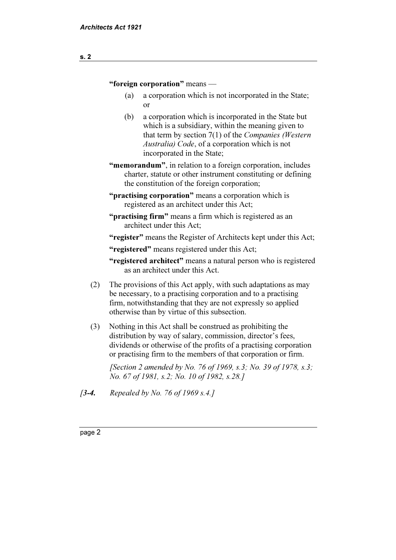#### "foreign corporation" means —

- (a) a corporation which is not incorporated in the State; or
- (b) a corporation which is incorporated in the State but which is a subsidiary, within the meaning given to that term by section 7(1) of the Companies (Western Australia) Code, of a corporation which is not incorporated in the State;
- "memorandum", in relation to a foreign corporation, includes charter, statute or other instrument constituting or defining the constitution of the foreign corporation;
- "practising corporation" means a corporation which is registered as an architect under this Act;
- "**practising firm**" means a firm which is registered as an architect under this Act;

"register" means the Register of Architects kept under this Act;

"registered" means registered under this Act;

- "registered architect" means a natural person who is registered as an architect under this Act.
- (2) The provisions of this Act apply, with such adaptations as may be necessary, to a practising corporation and to a practising firm, notwithstanding that they are not expressly so applied otherwise than by virtue of this subsection.
- (3) Nothing in this Act shall be construed as prohibiting the distribution by way of salary, commission, director's fees, dividends or otherwise of the profits of a practising corporation or practising firm to the members of that corporation or firm.

[Section 2 amended by No. 76 of 1969, s.3; No. 39 of 1978, s.3; No. 67 of 1981, s.2; No. 10 of 1982, s.28.]

[3-4. Repealed by No. 76 of 1969 s.4.]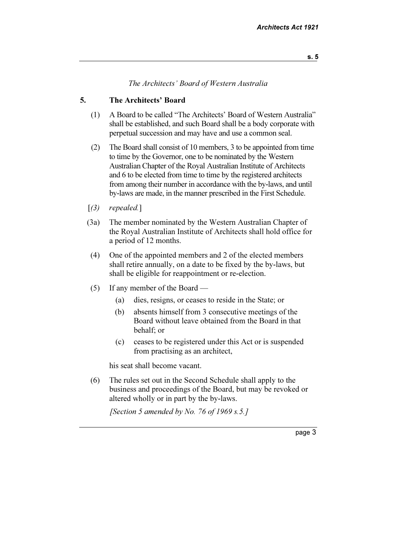#### The Architects' Board of Western Australia

#### 5. The Architects' Board

- (1) A Board to be called "The Architects' Board of Western Australia" shall be established, and such Board shall be a body corporate with perpetual succession and may have and use a common seal.
- (2) The Board shall consist of 10 members, 3 to be appointed from time to time by the Governor, one to be nominated by the Western Australian Chapter of the Royal Australian Institute of Architects and 6 to be elected from time to time by the registered architects from among their number in accordance with the by-laws, and until by-laws are made, in the manner prescribed in the First Schedule.
- $(3)$  repealed.]
- (3a) The member nominated by the Western Australian Chapter of the Royal Australian Institute of Architects shall hold office for a period of 12 months.
- (4) One of the appointed members and 2 of the elected members shall retire annually, on a date to be fixed by the by-laws, but shall be eligible for reappointment or re-election.
- (5) If any member of the Board
	- (a) dies, resigns, or ceases to reside in the State; or
	- (b) absents himself from 3 consecutive meetings of the Board without leave obtained from the Board in that behalf; or
	- (c) ceases to be registered under this Act or is suspended from practising as an architect,

his seat shall become vacant.

 (6) The rules set out in the Second Schedule shall apply to the business and proceedings of the Board, but may be revoked or altered wholly or in part by the by-laws.

[Section 5 amended by No. 76 of 1969 s.5.]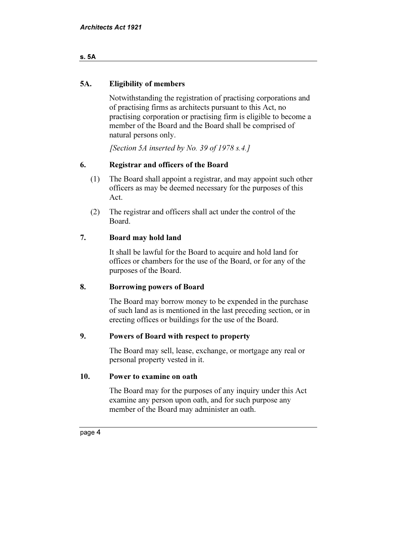#### s. 5A

#### 5A. Eligibility of members

 Notwithstanding the registration of practising corporations and of practising firms as architects pursuant to this Act, no practising corporation or practising firm is eligible to become a member of the Board and the Board shall be comprised of natural persons only.

[Section 5A inserted by No. 39 of 1978 s.4.]

#### 6. Registrar and officers of the Board

- (1) The Board shall appoint a registrar, and may appoint such other officers as may be deemed necessary for the purposes of this Act.
- (2) The registrar and officers shall act under the control of the Board.

#### 7. Board may hold land

 It shall be lawful for the Board to acquire and hold land for offices or chambers for the use of the Board, or for any of the purposes of the Board.

#### 8. Borrowing powers of Board

 The Board may borrow money to be expended in the purchase of such land as is mentioned in the last preceding section, or in erecting offices or buildings for the use of the Board.

#### 9. Powers of Board with respect to property

 The Board may sell, lease, exchange, or mortgage any real or personal property vested in it.

#### 10. Power to examine on oath

 The Board may for the purposes of any inquiry under this Act examine any person upon oath, and for such purpose any member of the Board may administer an oath.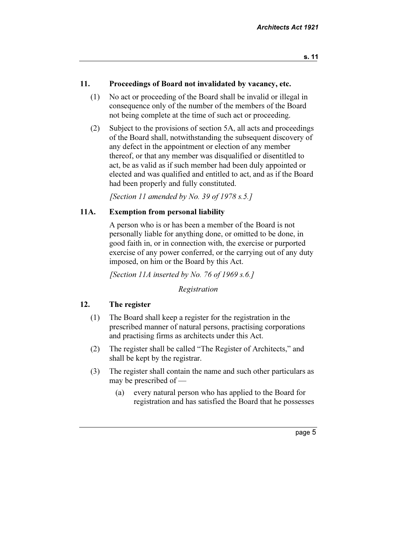#### 11. Proceedings of Board not invalidated by vacancy, etc.

- (1) No act or proceeding of the Board shall be invalid or illegal in consequence only of the number of the members of the Board not being complete at the time of such act or proceeding.
- (2) Subject to the provisions of section 5A, all acts and proceedings of the Board shall, notwithstanding the subsequent discovery of any defect in the appointment or election of any member thereof, or that any member was disqualified or disentitled to act, be as valid as if such member had been duly appointed or elected and was qualified and entitled to act, and as if the Board had been properly and fully constituted.

[Section 11 amended by No. 39 of 1978  $s.5.1$ ]

#### 11A. Exemption from personal liability

 A person who is or has been a member of the Board is not personally liable for anything done, or omitted to be done, in good faith in, or in connection with, the exercise or purported exercise of any power conferred, or the carrying out of any duty imposed, on him or the Board by this Act.

[Section 11A inserted by No. 76 of 1969 s.6.]

Registration

#### 12. The register

- (1) The Board shall keep a register for the registration in the prescribed manner of natural persons, practising corporations and practising firms as architects under this Act.
- (2) The register shall be called "The Register of Architects," and shall be kept by the registrar.
- (3) The register shall contain the name and such other particulars as may be prescribed of —
	- (a) every natural person who has applied to the Board for registration and has satisfied the Board that he possesses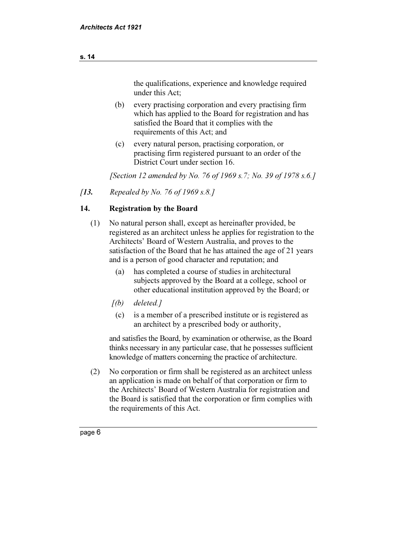the qualifications, experience and knowledge required under this Act;

- (b) every practising corporation and every practising firm which has applied to the Board for registration and has satisfied the Board that it complies with the requirements of this Act; and
- (c) every natural person, practising corporation, or practising firm registered pursuant to an order of the District Court under section 16.

[Section 12 amended by No. 76 of 1969 s.7; No. 39 of 1978 s.6.]

[13. Repealed by No. 76 of 1969 s.8.]

#### 14. Registration by the Board

- (1) No natural person shall, except as hereinafter provided, be registered as an architect unless he applies for registration to the Architects' Board of Western Australia, and proves to the satisfaction of the Board that he has attained the age of 21 years and is a person of good character and reputation; and
	- (a) has completed a course of studies in architectural subjects approved by the Board at a college, school or other educational institution approved by the Board; or
	- $[(b)$  deleted.]
		- (c) is a member of a prescribed institute or is registered as an architect by a prescribed body or authority,

 and satisfies the Board, by examination or otherwise, as the Board thinks necessary in any particular case, that he possesses sufficient knowledge of matters concerning the practice of architecture.

 (2) No corporation or firm shall be registered as an architect unless an application is made on behalf of that corporation or firm to the Architects' Board of Western Australia for registration and the Board is satisfied that the corporation or firm complies with the requirements of this Act.

#### s. 14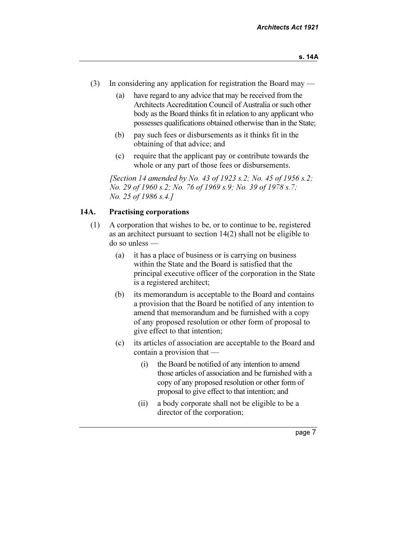- (3) In considering any application for registration the Board may
	- (a) have regard to any advice that may be received from the Architects Accreditation Council of Australia or such other body as the Board thinks fit in relation to any applicant who possesses qualifications obtained otherwise than in the State;
	- (b) pay such fees or disbursements as it thinks fit in the obtaining of that advice; and
	- (c) require that the applicant pay or contribute towards the whole or any part of those fees or disbursements.

[Section 14 amended by No. 43 of 1923 s.2; No. 45 of 1956 s.2; No. 29 of 1960 s.2; No. 76 of 1969 s.9; No. 39 of 1978 s.7; No. 25 of 1986 s.4.]

#### 14A. Practising corporations

- (1) A corporation that wishes to be, or to continue to be, registered as an architect pursuant to section 14(2) shall not be eligible to do so unless —
	- (a) it has a place of business or is carrying on business within the State and the Board is satisfied that the principal executive officer of the corporation in the State is a registered architect;
	- (b) its memorandum is acceptable to the Board and contains a provision that the Board be notified of any intention to amend that memorandum and be furnished with a copy of any proposed resolution or other form of proposal to give effect to that intention;
	- (c) its articles of association are acceptable to the Board and contain a provision that —
		- (i) the Board be notified of any intention to amend those articles of association and be furnished with a copy of any proposed resolution or other form of proposal to give effect to that intention; and
		- (ii) a body corporate shall not be eligible to be a director of the corporation;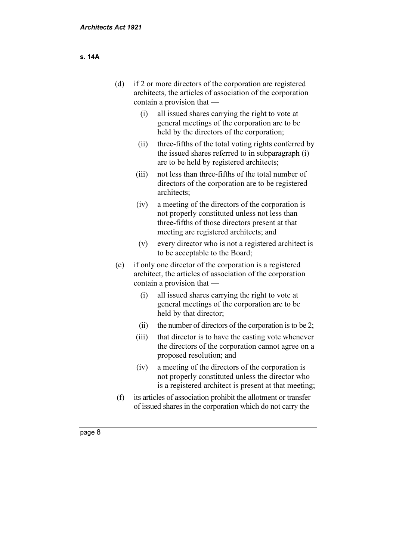| (d) | if 2 or more directors of the corporation are registered<br>architects, the articles of association of the corporation<br>contain a provision that - |                                                                                                                                                                                                |  |
|-----|------------------------------------------------------------------------------------------------------------------------------------------------------|------------------------------------------------------------------------------------------------------------------------------------------------------------------------------------------------|--|
|     | (i)                                                                                                                                                  | all issued shares carrying the right to vote at<br>general meetings of the corporation are to be<br>held by the directors of the corporation;                                                  |  |
|     | (ii)                                                                                                                                                 | three-fifths of the total voting rights conferred by<br>the issued shares referred to in subparagraph (i)<br>are to be held by registered architects;                                          |  |
|     | (iii)                                                                                                                                                | not less than three-fifths of the total number of<br>directors of the corporation are to be registered<br>architects;                                                                          |  |
|     | (iv)                                                                                                                                                 | a meeting of the directors of the corporation is<br>not properly constituted unless not less than<br>three-fifths of those directors present at that<br>meeting are registered architects; and |  |
|     | (v)                                                                                                                                                  | every director who is not a registered architect is<br>to be acceptable to the Board;                                                                                                          |  |
| (e) | if only one director of the corporation is a registered<br>architect, the articles of association of the corporation<br>contain a provision that —   |                                                                                                                                                                                                |  |
|     | (i)                                                                                                                                                  | all issued shares carrying the right to vote at<br>general meetings of the corporation are to be<br>held by that director;                                                                     |  |
|     | (ii)                                                                                                                                                 | the number of directors of the corporation is to be 2;                                                                                                                                         |  |
|     | (iii)                                                                                                                                                | that director is to have the casting vote whenever<br>the directors of the corporation cannot agree on a<br>proposed resolution; and                                                           |  |
|     | (iv)                                                                                                                                                 | a meeting of the directors of the corporation is<br>not properly constituted unless the director who<br>is a registered architect is present at that meeting;                                  |  |
| (f) |                                                                                                                                                      | its articles of association prohibit the allotment or transfer<br>of issued shares in the corporation which do not carry the                                                                   |  |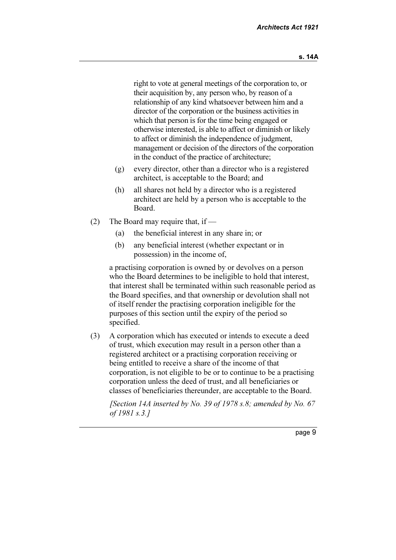right to vote at general meetings of the corporation to, or their acquisition by, any person who, by reason of a relationship of any kind whatsoever between him and a director of the corporation or the business activities in which that person is for the time being engaged or otherwise interested, is able to affect or diminish or likely to affect or diminish the independence of judgment, management or decision of the directors of the corporation in the conduct of the practice of architecture;

- (g) every director, other than a director who is a registered architect, is acceptable to the Board; and
- (h) all shares not held by a director who is a registered architect are held by a person who is acceptable to the Board.
- (2) The Board may require that, if
	- (a) the beneficial interest in any share in; or
	- (b) any beneficial interest (whether expectant or in possession) in the income of,

 a practising corporation is owned by or devolves on a person who the Board determines to be ineligible to hold that interest, that interest shall be terminated within such reasonable period as the Board specifies, and that ownership or devolution shall not of itself render the practising corporation ineligible for the purposes of this section until the expiry of the period so specified.

 (3) A corporation which has executed or intends to execute a deed of trust, which execution may result in a person other than a registered architect or a practising corporation receiving or being entitled to receive a share of the income of that corporation, is not eligible to be or to continue to be a practising corporation unless the deed of trust, and all beneficiaries or classes of beneficiaries thereunder, are acceptable to the Board.

[Section 14A inserted by No. 39 of 1978 s.8; amended by No. 67] of 1981 s.3.]

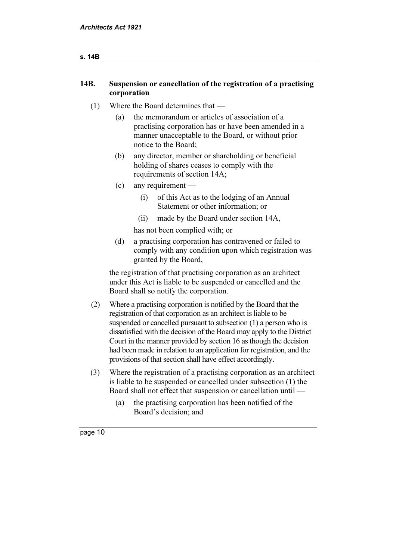#### 14B. Suspension or cancellation of the registration of a practising corporation

#### (1) Where the Board determines that —

- (a) the memorandum or articles of association of a practising corporation has or have been amended in a manner unacceptable to the Board, or without prior notice to the Board;
- (b) any director, member or shareholding or beneficial holding of shares ceases to comply with the requirements of section 14A;
- (c) any requirement
	- (i) of this Act as to the lodging of an Annual Statement or other information; or
	- (ii) made by the Board under section 14A,

has not been complied with; or

 (d) a practising corporation has contravened or failed to comply with any condition upon which registration was granted by the Board,

 the registration of that practising corporation as an architect under this Act is liable to be suspended or cancelled and the Board shall so notify the corporation.

- (2) Where a practising corporation is notified by the Board that the registration of that corporation as an architect is liable to be suspended or cancelled pursuant to subsection (1) a person who is dissatisfied with the decision of the Board may apply to the District Court in the manner provided by section 16 as though the decision had been made in relation to an application for registration, and the provisions of that section shall have effect accordingly.
- (3) Where the registration of a practising corporation as an architect is liable to be suspended or cancelled under subsection (1) the Board shall not effect that suspension or cancellation until —
	- (a) the practising corporation has been notified of the Board's decision; and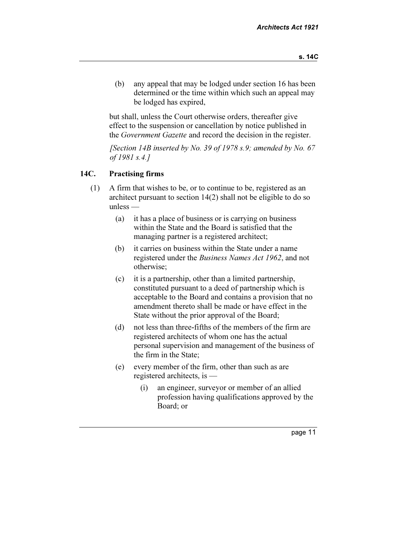(b) any appeal that may be lodged under section 16 has been determined or the time within which such an appeal may be lodged has expired,

 but shall, unless the Court otherwise orders, thereafter give effect to the suspension or cancellation by notice published in the Government Gazette and record the decision in the register.

[Section 14B inserted by No. 39 of 1978 s.9; amended by No. 67 of 1981 s.4.]

#### 14C. Practising firms

- (1) A firm that wishes to be, or to continue to be, registered as an architect pursuant to section 14(2) shall not be eligible to do so unless —
	- (a) it has a place of business or is carrying on business within the State and the Board is satisfied that the managing partner is a registered architect;
	- (b) it carries on business within the State under a name registered under the Business Names Act 1962, and not otherwise;
	- (c) it is a partnership, other than a limited partnership, constituted pursuant to a deed of partnership which is acceptable to the Board and contains a provision that no amendment thereto shall be made or have effect in the State without the prior approval of the Board;
	- (d) not less than three-fifths of the members of the firm are registered architects of whom one has the actual personal supervision and management of the business of the firm in the State;
	- (e) every member of the firm, other than such as are registered architects, is —
		- (i) an engineer, surveyor or member of an allied profession having qualifications approved by the Board; or

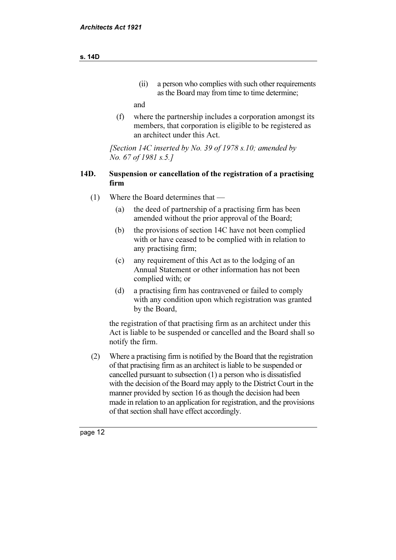#### (ii) a person who complies with such other requirements as the Board may from time to time determine;

and

 (f) where the partnership includes a corporation amongst its members, that corporation is eligible to be registered as an architect under this Act.

[Section 14C inserted by No. 39 of 1978 s.10; amended by No. 67 of 1981 s.5.]

#### 14D. Suspension or cancellation of the registration of a practising firm

- (1) Where the Board determines that
	- (a) the deed of partnership of a practising firm has been amended without the prior approval of the Board;
	- (b) the provisions of section 14C have not been complied with or have ceased to be complied with in relation to any practising firm;
	- (c) any requirement of this Act as to the lodging of an Annual Statement or other information has not been complied with; or
	- (d) a practising firm has contravened or failed to comply with any condition upon which registration was granted by the Board,

 the registration of that practising firm as an architect under this Act is liable to be suspended or cancelled and the Board shall so notify the firm.

 (2) Where a practising firm is notified by the Board that the registration of that practising firm as an architect is liable to be suspended or cancelled pursuant to subsection (1) a person who is dissatisfied with the decision of the Board may apply to the District Court in the manner provided by section 16 as though the decision had been made in relation to an application for registration, and the provisions of that section shall have effect accordingly.

page <sup>12</sup>

#### s. 14D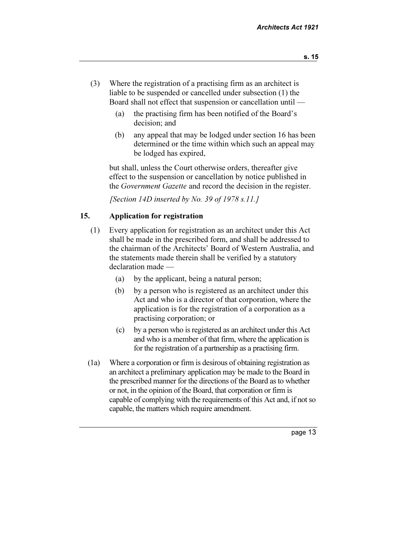- (3) Where the registration of a practising firm as an architect is liable to be suspended or cancelled under subsection (1) the Board shall not effect that suspension or cancellation until —
	- (a) the practising firm has been notified of the Board's decision; and
	- (b) any appeal that may be lodged under section 16 has been determined or the time within which such an appeal may be lodged has expired,

 but shall, unless the Court otherwise orders, thereafter give effect to the suspension or cancellation by notice published in the Government Gazette and record the decision in the register.

[Section 14D inserted by No. 39 of 1978 s.11.]

#### 15. Application for registration

- (1) Every application for registration as an architect under this Act shall be made in the prescribed form, and shall be addressed to the chairman of the Architects' Board of Western Australia, and the statements made therein shall be verified by a statutory declaration made —
	- (a) by the applicant, being a natural person;
	- (b) by a person who is registered as an architect under this Act and who is a director of that corporation, where the application is for the registration of a corporation as a practising corporation; or
	- (c) by a person who is registered as an architect under this Act and who is a member of that firm, where the application is for the registration of a partnership as a practising firm.
- (1a) Where a corporation or firm is desirous of obtaining registration as an architect a preliminary application may be made to the Board in the prescribed manner for the directions of the Board as to whether or not, in the opinion of the Board, that corporation or firm is capable of complying with the requirements of this Act and, if not so capable, the matters which require amendment.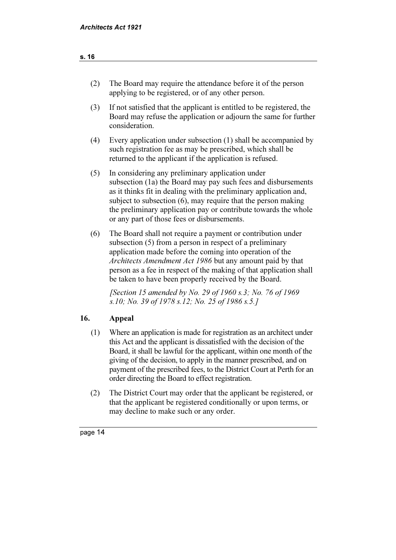| The Board may require the attendance before it of the person |
|--------------------------------------------------------------|
| applying to be registered, or of any other person.           |

- (3) If not satisfied that the applicant is entitled to be registered, the Board may refuse the application or adjourn the same for further consideration.
- (4) Every application under subsection (1) shall be accompanied by such registration fee as may be prescribed, which shall be returned to the applicant if the application is refused.
- (5) In considering any preliminary application under subsection (1a) the Board may pay such fees and disbursements as it thinks fit in dealing with the preliminary application and, subject to subsection (6), may require that the person making the preliminary application pay or contribute towards the whole or any part of those fees or disbursements.
- (6) The Board shall not require a payment or contribution under subsection (5) from a person in respect of a preliminary application made before the coming into operation of the Architects Amendment Act 1986 but any amount paid by that person as a fee in respect of the making of that application shall be taken to have been properly received by the Board.

[Section 15 amended by No. 29 of 1960 s.3; No. 76 of 1969] s.10; No. 39 of 1978 s.12; No. 25 of 1986 s.5.]

#### 16. Appeal

- (1) Where an application is made for registration as an architect under this Act and the applicant is dissatisfied with the decision of the Board, it shall be lawful for the applicant, within one month of the giving of the decision, to apply in the manner prescribed, and on payment of the prescribed fees, to the District Court at Perth for an order directing the Board to effect registration.
- (2) The District Court may order that the applicant be registered, or that the applicant be registered conditionally or upon terms, or may decline to make such or any order.

page <sup>14</sup>

#### s. 16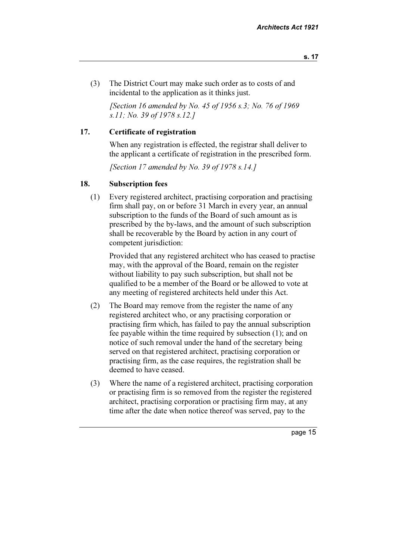(3) The District Court may make such order as to costs of and incidental to the application as it thinks just.

[Section 16 amended by No. 45 of 1956 s.3; No. 76 of 1969] s.11; No. 39 of 1978 s.12.]

#### 17. Certificate of registration

 When any registration is effected, the registrar shall deliver to the applicant a certificate of registration in the prescribed form.

[Section 17 amended by No. 39 of 1978 s.14.]

#### 18. Subscription fees

 (1) Every registered architect, practising corporation and practising firm shall pay, on or before 31 March in every year, an annual subscription to the funds of the Board of such amount as is prescribed by the by-laws, and the amount of such subscription shall be recoverable by the Board by action in any court of competent jurisdiction:

 Provided that any registered architect who has ceased to practise may, with the approval of the Board, remain on the register without liability to pay such subscription, but shall not be qualified to be a member of the Board or be allowed to vote at any meeting of registered architects held under this Act.

- (2) The Board may remove from the register the name of any registered architect who, or any practising corporation or practising firm which, has failed to pay the annual subscription fee payable within the time required by subsection (1); and on notice of such removal under the hand of the secretary being served on that registered architect, practising corporation or practising firm, as the case requires, the registration shall be deemed to have ceased.
- (3) Where the name of a registered architect, practising corporation or practising firm is so removed from the register the registered architect, practising corporation or practising firm may, at any time after the date when notice thereof was served, pay to the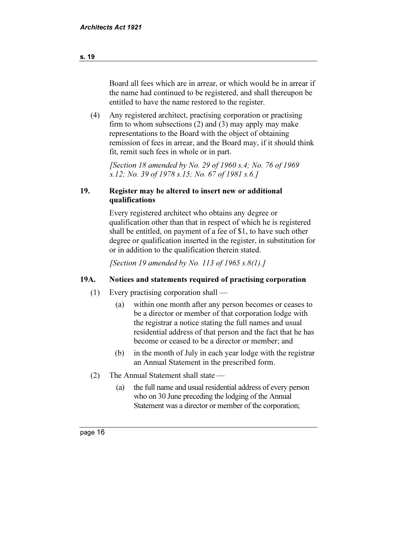Board all fees which are in arrear, or which would be in arrear if the name had continued to be registered, and shall thereupon be entitled to have the name restored to the register.

 (4) Any registered architect, practising corporation or practising firm to whom subsections (2) and (3) may apply may make representations to the Board with the object of obtaining remission of fees in arrear, and the Board may, if it should think fit, remit such fees in whole or in part.

[Section 18 amended by No. 29 of 1960 s.4; No. 76 of 1969] s.12; No. 39 of 1978 s.15; No. 67 of 1981 s.6.]

#### 19. Register may be altered to insert new or additional qualifications

 Every registered architect who obtains any degree or qualification other than that in respect of which he is registered shall be entitled, on payment of a fee of \$1, to have such other degree or qualification inserted in the register, in substitution for or in addition to the qualification therein stated.

[Section 19 amended by No. 113 of 1965 s.8(1).]

#### 19A. Notices and statements required of practising corporation

- (1) Every practising corporation shall
	- (a) within one month after any person becomes or ceases to be a director or member of that corporation lodge with the registrar a notice stating the full names and usual residential address of that person and the fact that he has become or ceased to be a director or member; and
	- (b) in the month of July in each year lodge with the registrar an Annual Statement in the prescribed form.
- (2) The Annual Statement shall state
	- (a) the full name and usual residential address of every person who on 30 June preceding the lodging of the Annual Statement was a director or member of the corporation;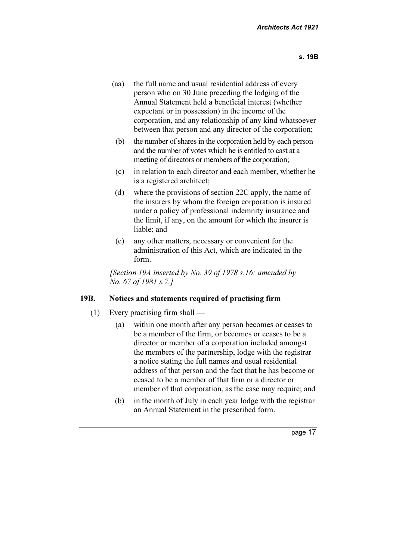- (aa) the full name and usual residential address of every person who on 30 June preceding the lodging of the Annual Statement held a beneficial interest (whether expectant or in possession) in the income of the corporation, and any relationship of any kind whatsoever between that person and any director of the corporation;
- (b) the number of shares in the corporation held by each person and the number of votes which he is entitled to cast at a meeting of directors or members of the corporation;
- (c) in relation to each director and each member, whether he is a registered architect;
- (d) where the provisions of section 22C apply, the name of the insurers by whom the foreign corporation is insured under a policy of professional indemnity insurance and the limit, if any, on the amount for which the insurer is liable; and
- (e) any other matters, necessary or convenient for the administration of this Act, which are indicated in the form.

[Section 19A inserted by No. 39 of 1978 s.16; amended by No. 67 of 1981 s.7.]

#### 19B. Notices and statements required of practising firm

- (1) Every practising firm shall
	- (a) within one month after any person becomes or ceases to be a member of the firm, or becomes or ceases to be a director or member of a corporation included amongst the members of the partnership, lodge with the registrar a notice stating the full names and usual residential address of that person and the fact that he has become or ceased to be a member of that firm or a director or member of that corporation, as the case may require; and
	- (b) in the month of July in each year lodge with the registrar an Annual Statement in the prescribed form.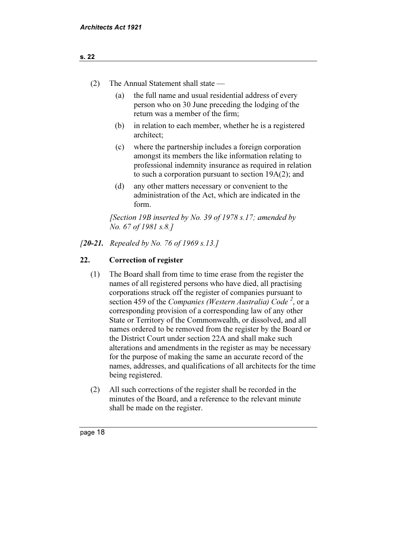| The Annual Statement shall state —<br>(2) |  |
|-------------------------------------------|--|
|-------------------------------------------|--|

- (a) the full name and usual residential address of every person who on 30 June preceding the lodging of the return was a member of the firm;
- (b) in relation to each member, whether he is a registered architect;
- (c) where the partnership includes a foreign corporation amongst its members the like information relating to professional indemnity insurance as required in relation to such a corporation pursuant to section 19A(2); and
- (d) any other matters necessary or convenient to the administration of the Act, which are indicated in the form.

[Section 19B inserted by No. 39 of 1978 s.17; amended by No. 67 of 1981 s.8.]

#### [20-21. Repealed by No. 76 of 1969 s.13.]

#### 22. Correction of register

- (1) The Board shall from time to time erase from the register the names of all registered persons who have died, all practising corporations struck off the register of companies pursuant to section 459 of the Companies (Western Australia) Code<sup>2</sup>, or a corresponding provision of a corresponding law of any other State or Territory of the Commonwealth, or dissolved, and all names ordered to be removed from the register by the Board or the District Court under section 22A and shall make such alterations and amendments in the register as may be necessary for the purpose of making the same an accurate record of the names, addresses, and qualifications of all architects for the time being registered.
- (2) All such corrections of the register shall be recorded in the minutes of the Board, and a reference to the relevant minute shall be made on the register.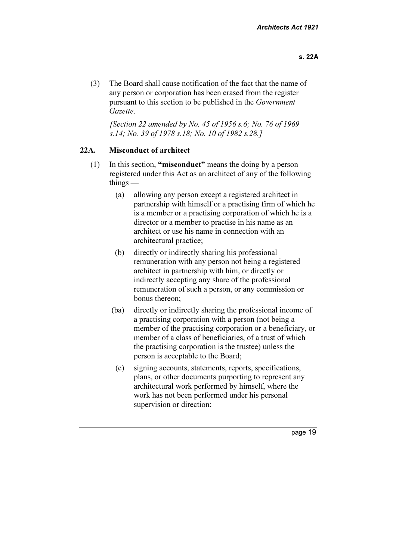(3) The Board shall cause notification of the fact that the name of any person or corporation has been erased from the register pursuant to this section to be published in the Government Gazette.

 [Section 22 amended by No. 45 of 1956 s.6; No. 76 of 1969 s.14; No. 39 of 1978 s.18; No. 10 of 1982 s.28.]

#### 22A. Misconduct of architect

- (1) In this section, "misconduct" means the doing by a person registered under this Act as an architect of any of the following things —
	- (a) allowing any person except a registered architect in partnership with himself or a practising firm of which he is a member or a practising corporation of which he is a director or a member to practise in his name as an architect or use his name in connection with an architectural practice;
	- (b) directly or indirectly sharing his professional remuneration with any person not being a registered architect in partnership with him, or directly or indirectly accepting any share of the professional remuneration of such a person, or any commission or bonus thereon;
	- (ba) directly or indirectly sharing the professional income of a practising corporation with a person (not being a member of the practising corporation or a beneficiary, or member of a class of beneficiaries, of a trust of which the practising corporation is the trustee) unless the person is acceptable to the Board;
		- (c) signing accounts, statements, reports, specifications, plans, or other documents purporting to represent any architectural work performed by himself, where the work has not been performed under his personal supervision or direction;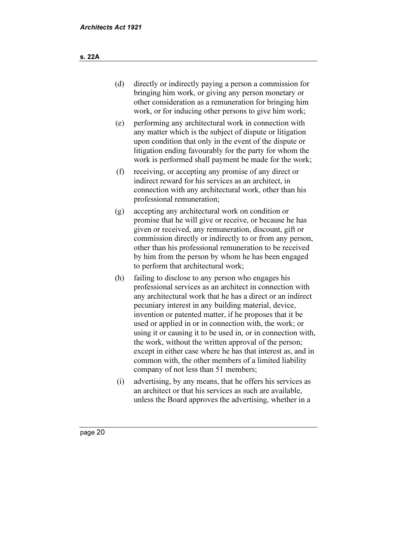- (d) directly or indirectly paying a person a commission for bringing him work, or giving any person monetary or other consideration as a remuneration for bringing him work, or for inducing other persons to give him work;
- (e) performing any architectural work in connection with any matter which is the subject of dispute or litigation upon condition that only in the event of the dispute or litigation ending favourably for the party for whom the work is performed shall payment be made for the work;
- (f) receiving, or accepting any promise of any direct or indirect reward for his services as an architect, in connection with any architectural work, other than his professional remuneration;
- (g) accepting any architectural work on condition or promise that he will give or receive, or because he has given or received, any remuneration, discount, gift or commission directly or indirectly to or from any person, other than his professional remuneration to be received by him from the person by whom he has been engaged to perform that architectural work;
- (h) failing to disclose to any person who engages his professional services as an architect in connection with any architectural work that he has a direct or an indirect pecuniary interest in any building material, device, invention or patented matter, if he proposes that it be used or applied in or in connection with, the work; or using it or causing it to be used in, or in connection with, the work, without the written approval of the person; except in either case where he has that interest as, and in common with, the other members of a limited liability company of not less than 51 members;
- (i) advertising, by any means, that he offers his services as an architect or that his services as such are available, unless the Board approves the advertising, whether in a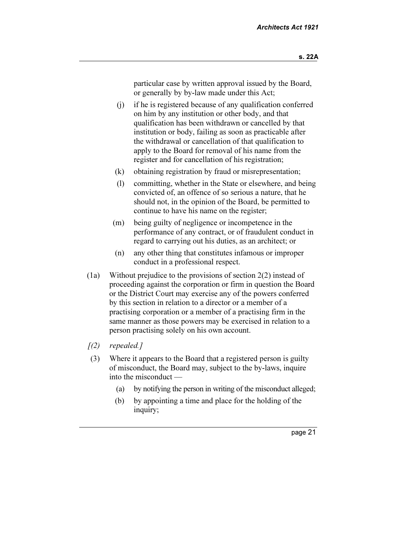particular case by written approval issued by the Board, or generally by by-law made under this Act;

- (j) if he is registered because of any qualification conferred on him by any institution or other body, and that qualification has been withdrawn or cancelled by that institution or body, failing as soon as practicable after the withdrawal or cancellation of that qualification to apply to the Board for removal of his name from the register and for cancellation of his registration;
- (k) obtaining registration by fraud or misrepresentation;
- (l) committing, whether in the State or elsewhere, and being convicted of, an offence of so serious a nature, that he should not, in the opinion of the Board, be permitted to continue to have his name on the register;
- (m) being guilty of negligence or incompetence in the performance of any contract, or of fraudulent conduct in regard to carrying out his duties, as an architect; or
- (n) any other thing that constitutes infamous or improper conduct in a professional respect.
- (1a) Without prejudice to the provisions of section 2(2) instead of proceeding against the corporation or firm in question the Board or the District Court may exercise any of the powers conferred by this section in relation to a director or a member of a practising corporation or a member of a practising firm in the same manner as those powers may be exercised in relation to a person practising solely on his own account.
- $(2)$  repealed.]
- (3) Where it appears to the Board that a registered person is guilty of misconduct, the Board may, subject to the by-laws, inquire into the misconduct —
	- (a) by notifying the person in writing of the misconduct alleged;
	- (b) by appointing a time and place for the holding of the inquiry;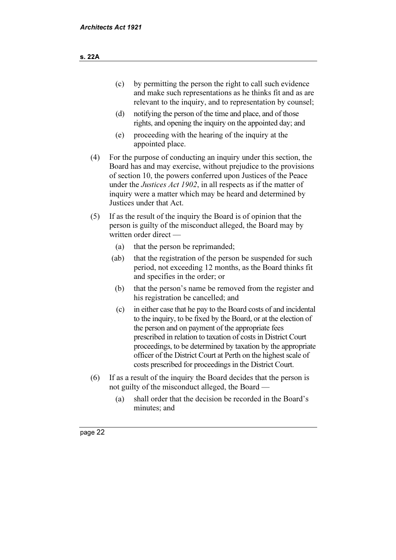- (c) by permitting the person the right to call such evidence and make such representations as he thinks fit and as are relevant to the inquiry, and to representation by counsel;
- (d) notifying the person of the time and place, and of those rights, and opening the inquiry on the appointed day; and
- (e) proceeding with the hearing of the inquiry at the appointed place.
- (4) For the purpose of conducting an inquiry under this section, the Board has and may exercise, without prejudice to the provisions of section 10, the powers conferred upon Justices of the Peace under the *Justices Act 1902*, in all respects as if the matter of inquiry were a matter which may be heard and determined by Justices under that Act.
- (5) If as the result of the inquiry the Board is of opinion that the person is guilty of the misconduct alleged, the Board may by written order direct —
	- (a) that the person be reprimanded;
	- (ab) that the registration of the person be suspended for such period, not exceeding 12 months, as the Board thinks fit and specifies in the order; or
		- (b) that the person's name be removed from the register and his registration be cancelled; and
		- (c) in either case that he pay to the Board costs of and incidental to the inquiry, to be fixed by the Board, or at the election of the person and on payment of the appropriate fees prescribed in relation to taxation of costs in District Court proceedings, to be determined by taxation by the appropriate officer of the District Court at Perth on the highest scale of costs prescribed for proceedings in the District Court.
- (6) If as a result of the inquiry the Board decides that the person is not guilty of the misconduct alleged, the Board —
	- (a) shall order that the decision be recorded in the Board's minutes; and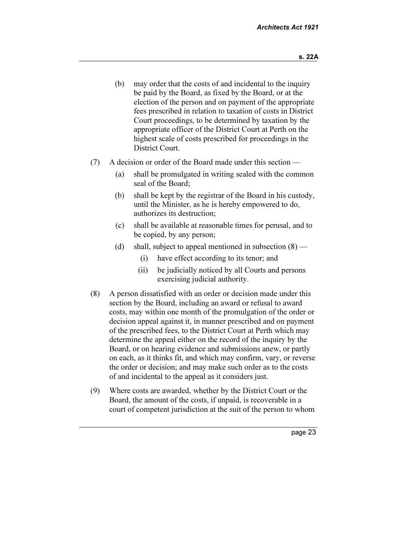- (b) may order that the costs of and incidental to the inquiry be paid by the Board, as fixed by the Board, or at the election of the person and on payment of the appropriate fees prescribed in relation to taxation of costs in District Court proceedings, to be determined by taxation by the appropriate officer of the District Court at Perth on the highest scale of costs prescribed for proceedings in the District Court.
- (7) A decision or order of the Board made under this section
	- (a) shall be promulgated in writing sealed with the common seal of the Board;
	- (b) shall be kept by the registrar of the Board in his custody, until the Minister, as he is hereby empowered to do, authorizes its destruction;
	- (c) shall be available at reasonable times for perusal, and to be copied, by any person;
	- (d) shall, subject to appeal mentioned in subsection  $(8)$ 
		- (i) have effect according to its tenor; and
		- (ii) be judicially noticed by all Courts and persons exercising judicial authority.
- (8) A person dissatisfied with an order or decision made under this section by the Board, including an award or refusal to award costs, may within one month of the promulgation of the order or decision appeal against it, in manner prescribed and on payment of the prescribed fees, to the District Court at Perth which may determine the appeal either on the record of the inquiry by the Board, or on hearing evidence and submissions anew, or partly on each, as it thinks fit, and which may confirm, vary, or reverse the order or decision; and may make such order as to the costs of and incidental to the appeal as it considers just.
- (9) Where costs are awarded, whether by the District Court or the Board, the amount of the costs, if unpaid, is recoverable in a court of competent jurisdiction at the suit of the person to whom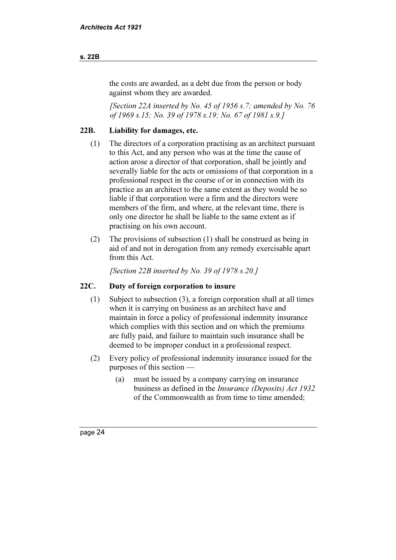#### s. 22B

the costs are awarded, as a debt due from the person or body against whom they are awarded.

[Section 22A inserted by No. 45 of 1956 s.7; amended by No. 76 of 1969 s.15; No. 39 of 1978 s.19; No. 67 of 1981 s.9.]

#### 22B. Liability for damages, etc.

- (1) The directors of a corporation practising as an architect pursuant to this Act, and any person who was at the time the cause of action arose a director of that corporation, shall be jointly and severally liable for the acts or omissions of that corporation in a professional respect in the course of or in connection with its practice as an architect to the same extent as they would be so liable if that corporation were a firm and the directors were members of the firm, and where, at the relevant time, there is only one director he shall be liable to the same extent as if practising on his own account.
- (2) The provisions of subsection (1) shall be construed as being in aid of and not in derogation from any remedy exercisable apart from this Act.

[Section 22B inserted by No. 39 of 1978 s.20.]

#### 22C. Duty of foreign corporation to insure

- (1) Subject to subsection (3), a foreign corporation shall at all times when it is carrying on business as an architect have and maintain in force a policy of professional indemnity insurance which complies with this section and on which the premiums are fully paid, and failure to maintain such insurance shall be deemed to be improper conduct in a professional respect.
- (2) Every policy of professional indemnity insurance issued for the purposes of this section —
	- (a) must be issued by a company carrying on insurance business as defined in the Insurance (Deposits) Act 1932 of the Commonwealth as from time to time amended;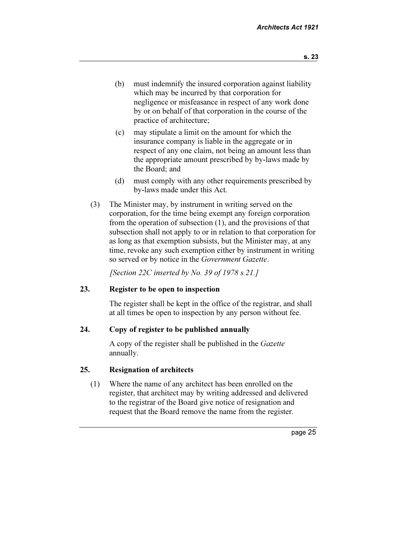- (b) must indemnify the insured corporation against liability which may be incurred by that corporation for negligence or misfeasance in respect of any work done by or on behalf of that corporation in the course of the practice of architecture;
- (c) may stipulate a limit on the amount for which the insurance company is liable in the aggregate or in respect of any one claim, not being an amount less than the appropriate amount prescribed by by-laws made by the Board; and
- (d) must comply with any other requirements prescribed by by-laws made under this Act.
- (3) The Minister may, by instrument in writing served on the corporation, for the time being exempt any foreign corporation from the operation of subsection (1), and the provisions of that subsection shall not apply to or in relation to that corporation for as long as that exemption subsists, but the Minister may, at any time, revoke any such exemption either by instrument in writing so served or by notice in the Government Gazette.

[Section 22C inserted by No. 39 of 1978 s.21.]

#### 23. Register to be open to inspection

 The register shall be kept in the office of the registrar, and shall at all times be open to inspection by any person without fee.

#### 24. Copy of register to be published annually

A copy of the register shall be published in the Gazette annually.

#### 25. Resignation of architects

 (1) Where the name of any architect has been enrolled on the register, that architect may by writing addressed and delivered to the registrar of the Board give notice of resignation and request that the Board remove the name from the register.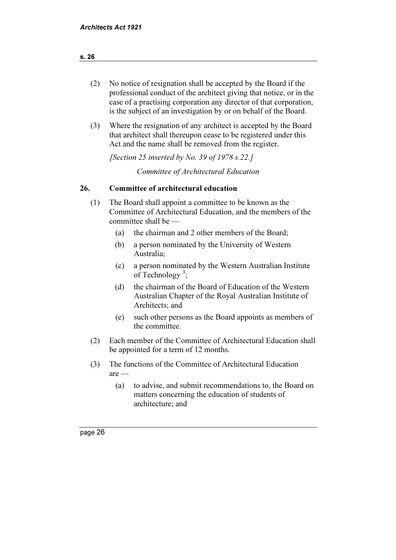| (2) | No notice of resignation shall be accepted by the Board if the      |
|-----|---------------------------------------------------------------------|
|     | professional conduct of the architect giving that notice, or in the |
|     | case of a practising corporation any director of that corporation,  |
|     | is the subject of an investigation by or on behalf of the Board.    |

 (3) Where the resignation of any architect is accepted by the Board that architect shall thereupon cease to be registered under this Act and the name shall be removed from the register.

[Section 25 inserted by No. 39 of  $1978 s.22.1$ ]

Committee of Architectural Education

#### 26. Committee of architectural education

- (1) The Board shall appoint a committee to be known as the Committee of Architectural Education, and the members of the committee shall be —
	- (a) the chairman and 2 other members of the Board;
	- (b) a person nominated by the University of Western Australia;
	- (c) a person nominated by the Western Australian Institute of Technology<sup>3</sup>;
	- (d) the chairman of the Board of Education of the Western Australian Chapter of the Royal Australian Institute of Architects; and
	- (e) such other persons as the Board appoints as members of the committee.
- (2) Each member of the Committee of Architectural Education shall be appointed for a term of 12 months.
- (3) The functions of the Committee of Architectural Education are —
	- (a) to advise, and submit recommendations to, the Board on matters concerning the education of students of architecture; and

page <sup>26</sup>

#### s. 26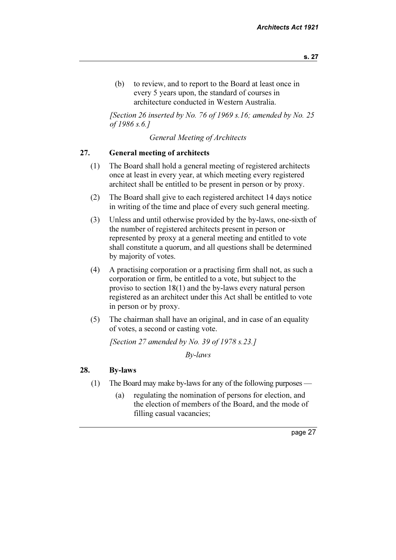(b) to review, and to report to the Board at least once in every 5 years upon, the standard of courses in architecture conducted in Western Australia.

[Section 26 inserted by No. 76 of 1969 s.16; amended by No. 25 of 1986 s.6.]

General Meeting of Architects

#### 27. General meeting of architects

- (1) The Board shall hold a general meeting of registered architects once at least in every year, at which meeting every registered architect shall be entitled to be present in person or by proxy.
- (2) The Board shall give to each registered architect 14 days notice in writing of the time and place of every such general meeting.
- (3) Unless and until otherwise provided by the by-laws, one-sixth of the number of registered architects present in person or represented by proxy at a general meeting and entitled to vote shall constitute a quorum, and all questions shall be determined by majority of votes.
- (4) A practising corporation or a practising firm shall not, as such a corporation or firm, be entitled to a vote, but subject to the proviso to section 18(1) and the by-laws every natural person registered as an architect under this Act shall be entitled to vote in person or by proxy.
- (5) The chairman shall have an original, and in case of an equality of votes, a second or casting vote.

[Section 27 amended by No. 39 of 1978 s.23.]

By-laws

#### 28. By-laws

- (1) The Board may make by-laws for any of the following purposes
	- (a) regulating the nomination of persons for election, and the election of members of the Board, and the mode of filling casual vacancies;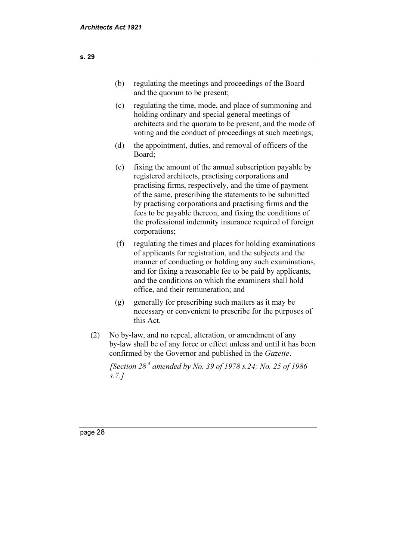- (b) regulating the meetings and proceedings of the Board and the quorum to be present;
- (c) regulating the time, mode, and place of summoning and holding ordinary and special general meetings of architects and the quorum to be present, and the mode of voting and the conduct of proceedings at such meetings;
- (d) the appointment, duties, and removal of officers of the Board;
- (e) fixing the amount of the annual subscription payable by registered architects, practising corporations and practising firms, respectively, and the time of payment of the same, prescribing the statements to be submitted by practising corporations and practising firms and the fees to be payable thereon, and fixing the conditions of the professional indemnity insurance required of foreign corporations;
- (f) regulating the times and places for holding examinations of applicants for registration, and the subjects and the manner of conducting or holding any such examinations, and for fixing a reasonable fee to be paid by applicants, and the conditions on which the examiners shall hold office, and their remuneration; and
- (g) generally for prescribing such matters as it may be necessary or convenient to prescribe for the purposes of this Act.
- (2) No by-law, and no repeal, alteration, or amendment of any by-law shall be of any force or effect unless and until it has been confirmed by the Governor and published in the Gazette.

[Section  $28^4$  amended by No. 39 of 1978 s.24; No. 25 of 1986 s.7.]

s. 29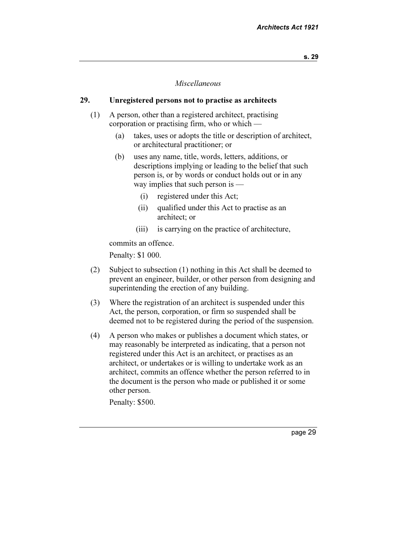#### Miscellaneous

#### 29. Unregistered persons not to practise as architects

- (1) A person, other than a registered architect, practising corporation or practising firm, who or which —
	- (a) takes, uses or adopts the title or description of architect, or architectural practitioner; or
	- (b) uses any name, title, words, letters, additions, or descriptions implying or leading to the belief that such person is, or by words or conduct holds out or in any way implies that such person is —
		- (i) registered under this Act;
		- (ii) qualified under this Act to practise as an architect; or
		- (iii) is carrying on the practice of architecture,

commits an offence.

Penalty: \$1 000.

- (2) Subject to subsection (1) nothing in this Act shall be deemed to prevent an engineer, builder, or other person from designing and superintending the erection of any building.
- (3) Where the registration of an architect is suspended under this Act, the person, corporation, or firm so suspended shall be deemed not to be registered during the period of the suspension.
- (4) A person who makes or publishes a document which states, or may reasonably be interpreted as indicating, that a person not registered under this Act is an architect, or practises as an architect, or undertakes or is willing to undertake work as an architect, commits an offence whether the person referred to in the document is the person who made or published it or some other person.

Penalty: \$500.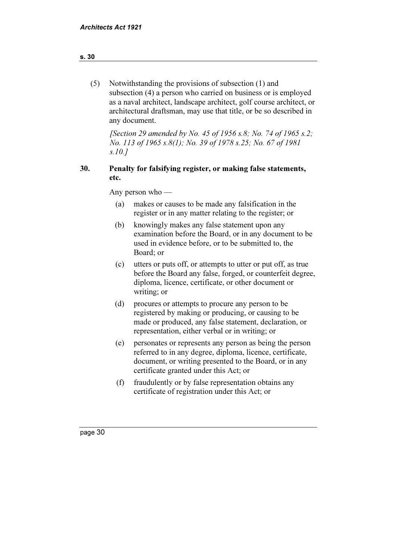| (5) | Notwithstanding the provisions of subsection (1) and                 |
|-----|----------------------------------------------------------------------|
|     | subsection (4) a person who carried on business or is employed       |
|     | as a naval architect, landscape architect, golf course architect, or |
|     | architectural draftsman, may use that title, or be so described in   |
|     | any document.                                                        |

[Section 29 amended by No. 45 of 1956 s.8; No. 74 of 1965 s.2; No. 113 of 1965 s.8(1); No. 39 of 1978 s.25; No. 67 of 1981 s.10.]

#### 30. Penalty for falsifying register, or making false statements, etc.

Any person who —

- (a) makes or causes to be made any falsification in the register or in any matter relating to the register; or
- (b) knowingly makes any false statement upon any examination before the Board, or in any document to be used in evidence before, or to be submitted to, the Board; or
- (c) utters or puts off, or attempts to utter or put off, as true before the Board any false, forged, or counterfeit degree, diploma, licence, certificate, or other document or writing; or
- (d) procures or attempts to procure any person to be registered by making or producing, or causing to be made or produced, any false statement, declaration, or representation, either verbal or in writing; or
- (e) personates or represents any person as being the person referred to in any degree, diploma, licence, certificate, document, or writing presented to the Board, or in any certificate granted under this Act; or
- (f) fraudulently or by false representation obtains any certificate of registration under this Act; or

#### s. 30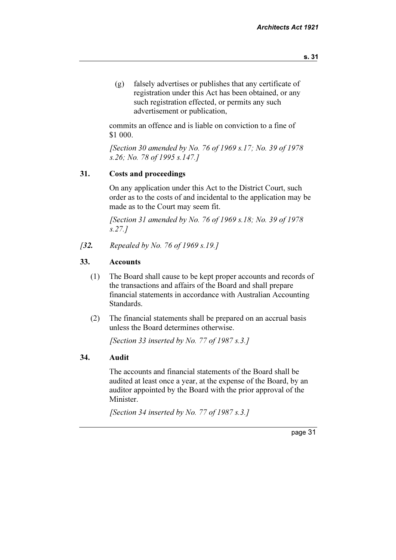- s. 31
- (g) falsely advertises or publishes that any certificate of registration under this Act has been obtained, or any such registration effected, or permits any such advertisement or publication,

 commits an offence and is liable on conviction to a fine of \$1 000.

 [Section 30 amended by No. 76 of 1969 s.17; No. 39 of 1978 s.26; No. 78 of 1995 s.147.]

#### 31. Costs and proceedings

 On any application under this Act to the District Court, such order as to the costs of and incidental to the application may be made as to the Court may seem fit.

[Section 31 amended by No. 76 of 1969 s.18; No. 39 of 1978] s.27.]

[32. Repealed by No. 76 of 1969 s.19.]

#### 33. Accounts

- (1) The Board shall cause to be kept proper accounts and records of the transactions and affairs of the Board and shall prepare financial statements in accordance with Australian Accounting Standards.
- (2) The financial statements shall be prepared on an accrual basis unless the Board determines otherwise.

[Section 33 inserted by No. 77 of  $1987 s.3.1$ ]

#### 34. Audit

 The accounts and financial statements of the Board shall be audited at least once a year, at the expense of the Board, by an auditor appointed by the Board with the prior approval of the Minister.

[Section 34 inserted by No. 77 of  $1987 s.3.1$ ]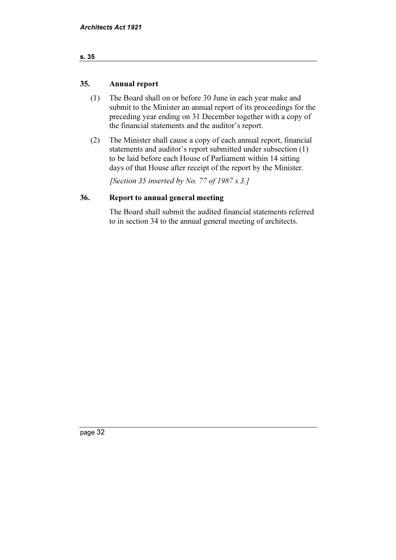| $\sim$<br>$\sim$<br>$\sim$ |
|----------------------------|
|----------------------------|

#### 35. Annual report

- (1) The Board shall on or before 30 June in each year make and submit to the Minister an annual report of its proceedings for the preceding year ending on 31 December together with a copy of the financial statements and the auditor's report.
- (2) The Minister shall cause a copy of each annual report, financial statements and auditor's report submitted under subsection (1) to be laid before each House of Parliament within 14 sitting days of that House after receipt of the report by the Minister.

[Section 35 inserted by No. 77 of 1987 s.3.]

#### 36. Report to annual general meeting

 The Board shall submit the audited financial statements referred to in section 34 to the annual general meeting of architects.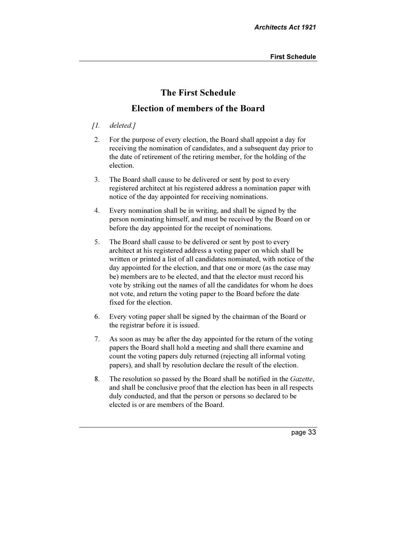## The First Schedule

### Election of members of the Board

#### [1. deleted.]

- 2. For the purpose of every election, the Board shall appoint a day for receiving the nomination of candidates, and a subsequent day prior to the date of retirement of the retiring member, for the holding of the election.
- 3. The Board shall cause to be delivered or sent by post to every registered architect at his registered address a nomination paper with notice of the day appointed for receiving nominations.
- 4. Every nomination shall be in writing, and shall be signed by the person nominating himself, and must be received by the Board on or before the day appointed for the receipt of nominations.
- 5. The Board shall cause to be delivered or sent by post to every architect at his registered address a voting paper on which shall be written or printed a list of all candidates nominated, with notice of the day appointed for the election, and that one or more (as the case may be) members are to be elected, and that the elector must record his vote by striking out the names of all the candidates for whom he does not vote, and return the voting paper to the Board before the date fixed for the election.
- 6. Every voting paper shall be signed by the chairman of the Board or the registrar before it is issued.
- 7. As soon as may be after the day appointed for the return of the voting papers the Board shall hold a meeting and shall there examine and count the voting papers duly returned (rejecting all informal voting papers), and shall by resolution declare the result of the election.
- 8. The resolution so passed by the Board shall be notified in the Gazette, and shall be conclusive proof that the election has been in all respects duly conducted, and that the person or persons so declared to be elected is or are members of the Board.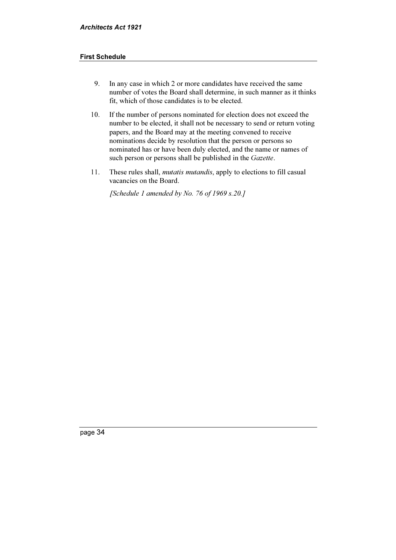#### First Schedule

- 9. In any case in which 2 or more candidates have received the same number of votes the Board shall determine, in such manner as it thinks fit, which of those candidates is to be elected.
- 10. If the number of persons nominated for election does not exceed the number to be elected, it shall not be necessary to send or return voting papers, and the Board may at the meeting convened to receive nominations decide by resolution that the person or persons so nominated has or have been duly elected, and the name or names of such person or persons shall be published in the Gazette.
- 11. These rules shall, *mutatis mutandis*, apply to elections to fill casual vacancies on the Board.

[Schedule 1 amended by No. 76 of 1969 s.20.]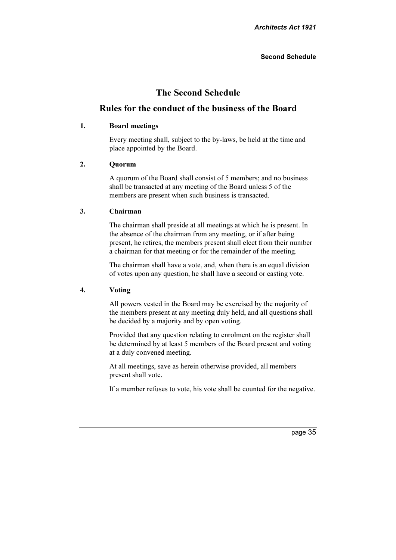### The Second Schedule

#### Rules for the conduct of the business of the Board

#### 1. Board meetings

 Every meeting shall, subject to the by-laws, be held at the time and place appointed by the Board.

#### 2. Quorum

 A quorum of the Board shall consist of 5 members; and no business shall be transacted at any meeting of the Board unless 5 of the members are present when such business is transacted.

#### 3. Chairman

 The chairman shall preside at all meetings at which he is present. In the absence of the chairman from any meeting, or if after being present, he retires, the members present shall elect from their number a chairman for that meeting or for the remainder of the meeting.

 The chairman shall have a vote, and, when there is an equal division of votes upon any question, he shall have a second or casting vote.

#### 4. Voting

 All powers vested in the Board may be exercised by the majority of the members present at any meeting duly held, and all questions shall be decided by a majority and by open voting.

 Provided that any question relating to enrolment on the register shall be determined by at least 5 members of the Board present and voting at a duly convened meeting.

 At all meetings, save as herein otherwise provided, all members present shall vote.

If a member refuses to vote, his vote shall be counted for the negative.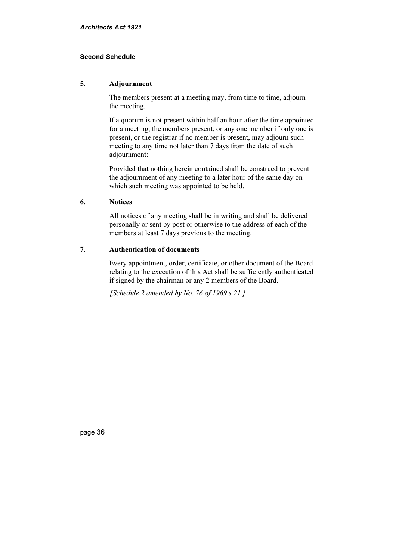#### Second Schedule

#### 5. Adjournment

 The members present at a meeting may, from time to time, adjourn the meeting.

 If a quorum is not present within half an hour after the time appointed for a meeting, the members present, or any one member if only one is present, or the registrar if no member is present, may adjourn such meeting to any time not later than 7 days from the date of such adjournment:

 Provided that nothing herein contained shall be construed to prevent the adjournment of any meeting to a later hour of the same day on which such meeting was appointed to be held.

#### 6. Notices

 All notices of any meeting shall be in writing and shall be delivered personally or sent by post or otherwise to the address of each of the members at least 7 days previous to the meeting.

#### 7. Authentication of documents

 Every appointment, order, certificate, or other document of the Board relating to the execution of this Act shall be sufficiently authenticated if signed by the chairman or any 2 members of the Board.

[Schedule 2 amended by No. 76 of 1969 s.21.]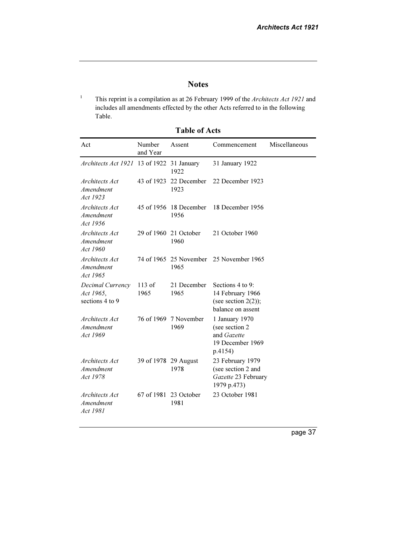## Notes

1 This reprint is a compilation as at 26 February 1999 of the Architects Act 1921 and includes all amendments effected by the other Acts referred to in the following Table.

Table of Acts

| Act                                              | Number<br>and Year   | Assent                         | Commencement                                                                        | Miscellaneous |
|--------------------------------------------------|----------------------|--------------------------------|-------------------------------------------------------------------------------------|---------------|
| Architects Act 1921 13 of 1922                   |                      | 31 January<br>1922             | 31 January 1922                                                                     |               |
| Architects Act<br>Amendment<br>Act 1923          | 43 of 1923           | 22 December<br>1923            | 22 December 1923                                                                    |               |
| Architects Act<br>Amendment<br>Act 1956          | 45 of 1956           | 18 December<br>1956            | 18 December 1956                                                                    |               |
| Architects Act<br>Amendment<br>Act 1960          |                      | 29 of 1960 21 October<br>1960  | 21 October 1960                                                                     |               |
| Architects Act<br>Amendment<br>Act 1965          |                      | 74 of 1965 25 November<br>1965 | 25 November 1965                                                                    |               |
| Decimal Currency<br>Act 1965,<br>sections 4 to 9 | $113$ of<br>1965     | 21 December<br>1965            | Sections 4 to 9:<br>14 February 1966<br>(see section $2(2)$ );<br>balance on assent |               |
| Architects Act<br>Amendment<br>Act 1969          |                      | 76 of 1969 7 November<br>1969  | 1 January 1970<br>(see section 2)<br>and Gazette<br>19 December 1969<br>p.4154)     |               |
| Architects Act<br>Amendment<br>Act 1978          | 39 of 1978 29 August | 1978                           | 23 February 1979<br>(see section 2 and<br>Gazette 23 February<br>1979 p.473)        |               |
| Architects Act<br>Amendment<br>Act 1981          |                      | 67 of 1981 23 October<br>1981  | 23 October 1981                                                                     |               |